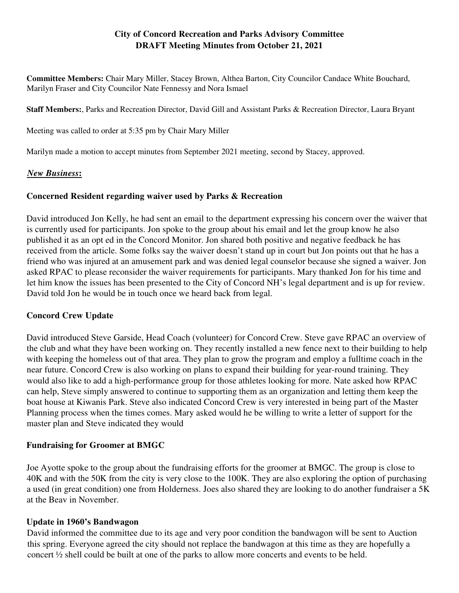# **City of Concord Recreation and Parks Advisory Committee DRAFT Meeting Minutes from October 21, 2021**

**Committee Members:** Chair Mary Miller, Stacey Brown, Althea Barton, City Councilor Candace White Bouchard, Marilyn Fraser and City Councilor Nate Fennessy and Nora Ismael

**Staff Members:**, Parks and Recreation Director, David Gill and Assistant Parks & Recreation Director, Laura Bryant

Meeting was called to order at 5:35 pm by Chair Mary Miller

Marilyn made a motion to accept minutes from September 2021 meeting, second by Stacey, approved.

### *New Business***:**

#### **Concerned Resident regarding waiver used by Parks & Recreation**

David introduced Jon Kelly, he had sent an email to the department expressing his concern over the waiver that is currently used for participants. Jon spoke to the group about his email and let the group know he also published it as an opt ed in the Concord Monitor. Jon shared both positive and negative feedback he has received from the article. Some folks say the waiver doesn't stand up in court but Jon points out that he has a friend who was injured at an amusement park and was denied legal counselor because she signed a waiver. Jon asked RPAC to please reconsider the waiver requirements for participants. Mary thanked Jon for his time and let him know the issues has been presented to the City of Concord NH's legal department and is up for review. David told Jon he would be in touch once we heard back from legal.

### **Concord Crew Update**

David introduced Steve Garside, Head Coach (volunteer) for Concord Crew. Steve gave RPAC an overview of the club and what they have been working on. They recently installed a new fence next to their building to help with keeping the homeless out of that area. They plan to grow the program and employ a fulltime coach in the near future. Concord Crew is also working on plans to expand their building for year-round training. They would also like to add a high-performance group for those athletes looking for more. Nate asked how RPAC can help, Steve simply answered to continue to supporting them as an organization and letting them keep the boat house at Kiwanis Park. Steve also indicated Concord Crew is very interested in being part of the Master Planning process when the times comes. Mary asked would he be willing to write a letter of support for the master plan and Steve indicated they would

### **Fundraising for Groomer at BMGC**

Joe Ayotte spoke to the group about the fundraising efforts for the groomer at BMGC. The group is close to 40K and with the 50K from the city is very close to the 100K. They are also exploring the option of purchasing a used (in great condition) one from Holderness. Joes also shared they are looking to do another fundraiser a 5K at the Beav in November.

### **Update in 1960's Bandwagon**

David informed the committee due to its age and very poor condition the bandwagon will be sent to Auction this spring. Everyone agreed the city should not replace the bandwagon at this time as they are hopefully a concert ½ shell could be built at one of the parks to allow more concerts and events to be held.